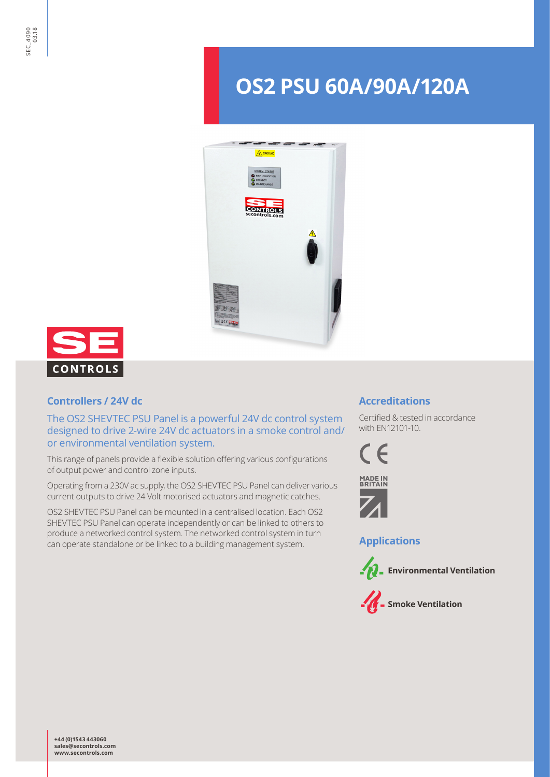# **OS2 PSU 60A/90A/120A**





## **Controllers / 24V dc**

The OS2 SHEVTEC PSU Panel is a powerful 24V dc control system designed to drive 2-wire 24V dc actuators in a smoke control and/ or environmental ventilation system.

This range of panels provide a flexible solution offering various configurations of output power and control zone inputs.

Operating from a 230V ac supply, the OS2 SHEVTEC PSU Panel can deliver various current outputs to drive 24 Volt motorised actuators and magnetic catches.

OS2 SHEVTEC PSU Panel can be mounted in a centralised location. Each OS2 SHEVTEC PSU Panel can operate independently or can be linked to others to produce a networked control system. The networked control system in turn can operate standalone or be linked to a building management system.

## **Accreditations**

Certified & tested in accordance with EN12101-10.





**Applications**